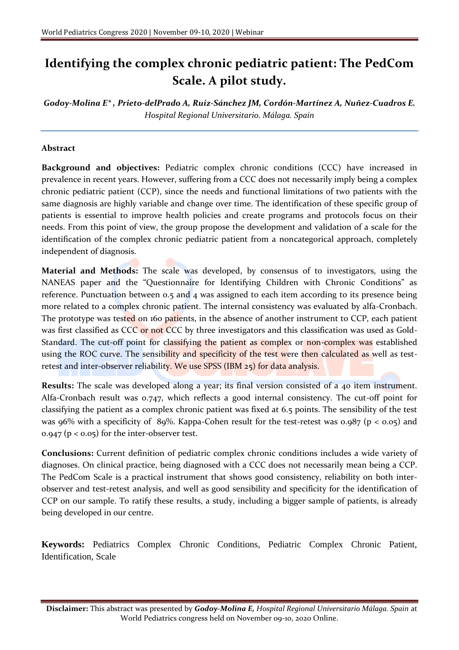## **Identifying the complex chronic pediatric patient: The PedCom Scale. A pilot study.**

*Godoy-Molina E\* , Prieto-delPrado A, Ruiz-Sánchez JM, Cordón-Martínez A, Nuñez-Cuadros E. Hospital Regional Universitario. Málaga. Spain*

## **Abstract**

**Background and objectives:** Pediatric complex chronic conditions (CCC) have increased in prevalence in recent years. However, suffering from a CCC does not necessarily imply being a complex chronic pediatric patient (CCP), since the needs and functional limitations of two patients with the same diagnosis are highly variable and change over time. The identification of these specific group of patients is essential to improve health policies and create programs and protocols focus on their needs. From this point of view, the group propose the development and validation of a scale for the identification of the complex chronic pediatric patient from a noncategorical approach, completely independent of diagnosis.

**Material and Methods:** The scale was developed, by consensus of to investigators, using the NANEAS paper and the "Questionnaire for Identifying Children with Chronic Conditions" as reference. Punctuation between 0.5 and 4 was assigned to each item according to its presence being more related to a complex chronic patient. The internal consistency was evaluated by alfa-Cronbach. The prototype was tested on 160 patients, in the absence of another instrument to CCP, each patient was first classified as CCC or not CCC by three investigators and this classification was used as Gold-Standard. The cut-off point for classifying the patient as complex or non-complex was established using the ROC curve. The sensibility and specificity of the test were then calculated as well as testretest and inter-observer reliability. We use SPSS (IBM 25) for data analysis.

**Results:** The scale was developed along a year; its final version consisted of a 40 item instrument. Alfa-Cronbach result was 0.747, which reflects a good internal consistency. The cut-off point for classifying the patient as a complex chronic patient was fixed at 6.5 points. The sensibility of the test was 96% with a specificity of 89%. Kappa-Cohen result for the test-retest was 0.987 (p < 0.05) and 0.947 ( $p < 0.05$ ) for the inter-observer test.

**Conclusions:** Current definition of pediatric complex chronic conditions includes a wide variety of diagnoses. On clinical practice, being diagnosed with a CCC does not necessarily mean being a CCP. The PedCom Scale is a practical instrument that shows good consistency, reliability on both interobserver and test-retest analysis, and well as good sensibility and specificity for the identification of CCP on our sample. To ratify these results, a study, including a bigger sample of patients, is already being developed in our centre.

**Keywords:** Pediatrics Complex Chronic Conditions, Pediatric Complex Chronic Patient, Identification, Scale

**Disclaimer:** This abstract was presented by *Godoy-Molina E, Hospital Regional Universitario Málaga. Spain* at World Pediatrics congress held on November 09-10, 2020 Online.